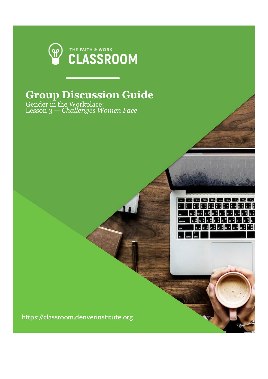

## **Group Discussion Guide**

,,,,,,,,,,,,, |田田田田尾尾田田田 **WIRE REFERENCE MENDEN GROUP** 医网象无尾性尿素

Gender in the Workplace: Lesson 3 — *Challenges Women Face*

https://classroom.denverinstitute.org